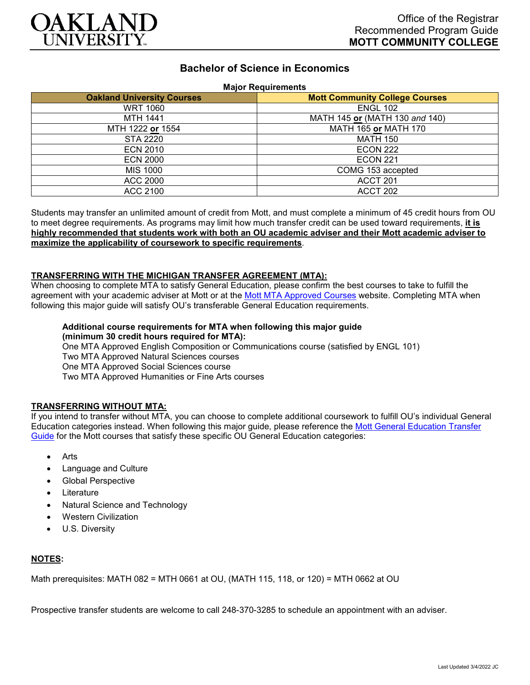

## **Bachelor of Science in Economics**

#### **Major Requirements**

| <b>Oakland University Courses</b> | 1.141<br><b>Mott Community College Courses</b> |
|-----------------------------------|------------------------------------------------|
| <b>WRT 1060</b>                   | <b>ENGL 102</b>                                |
| <b>MTH 1441</b>                   | MATH 145 or (MATH 130 and 140)                 |
| MTH 1222 or 1554                  | <b>MATH 165 or MATH 170</b>                    |
| <b>STA 2220</b>                   | <b>MATH 150</b>                                |
| <b>ECN 2010</b>                   | <b>ECON 222</b>                                |
| <b>ECN 2000</b>                   | <b>ECON 221</b>                                |
| <b>MIS 1000</b>                   | COMG 153 accepted                              |
| <b>ACC 2000</b>                   | ACCT 201                                       |
| ACC 2100                          | ACCT 202                                       |

Students may transfer an unlimited amount of credit from Mott, and must complete a minimum of 45 credit hours from OU to meet degree requirements. As programs may limit how much transfer credit can be used toward requirements, **it is highly recommended that students work with both an OU academic adviser and their Mott academic adviser to maximize the applicability of coursework to specific requirements**.

### **TRANSFERRING WITH THE MICHIGAN TRANSFER AGREEMENT (MTA):**

When choosing to complete MTA to satisfy General Education, please confirm the best courses to take to fulfill the agreement with your academic adviser at Mott or at the [Mott MTA Approved Courses](https://www.mcc.edu/transfer/mi-transfer-agreement.shtml) website. Completing MTA when following this major guide will satisfy OU's transferable General Education requirements.

# **Additional course requirements for MTA when following this major guide**

**(minimum 30 credit hours required for MTA):** One MTA Approved English Composition or Communications course (satisfied by ENGL 101) Two MTA Approved Natural Sciences courses One MTA Approved Social Sciences course Two MTA Approved Humanities or Fine Arts courses

### **TRANSFERRING WITHOUT MTA:**

If you intend to transfer without MTA, you can choose to complete additional coursework to fulfill OU's individual General Education categories instead. When following this major guide, please reference the [Mott General Education Transfer](https://www.oakland.edu/Assets/Oakland/program-guides/mott-community-college/university-general-education-requirements/Mott%20Gen%20Ed.pdf)  [Guide](https://www.oakland.edu/Assets/Oakland/program-guides/mott-community-college/university-general-education-requirements/Mott%20Gen%20Ed.pdf) for the Mott courses that satisfy these specific OU General Education categories:

- Arts
- Language and Culture
- Global Perspective
- **Literature**
- Natural Science and Technology
- Western Civilization
- U.S. Diversity

### **NOTES:**

Math prerequisites: MATH 082 = MTH 0661 at OU, (MATH 115, 118, or 120) = MTH 0662 at OU

Prospective transfer students are welcome to call 248-370-3285 to schedule an appointment with an adviser.